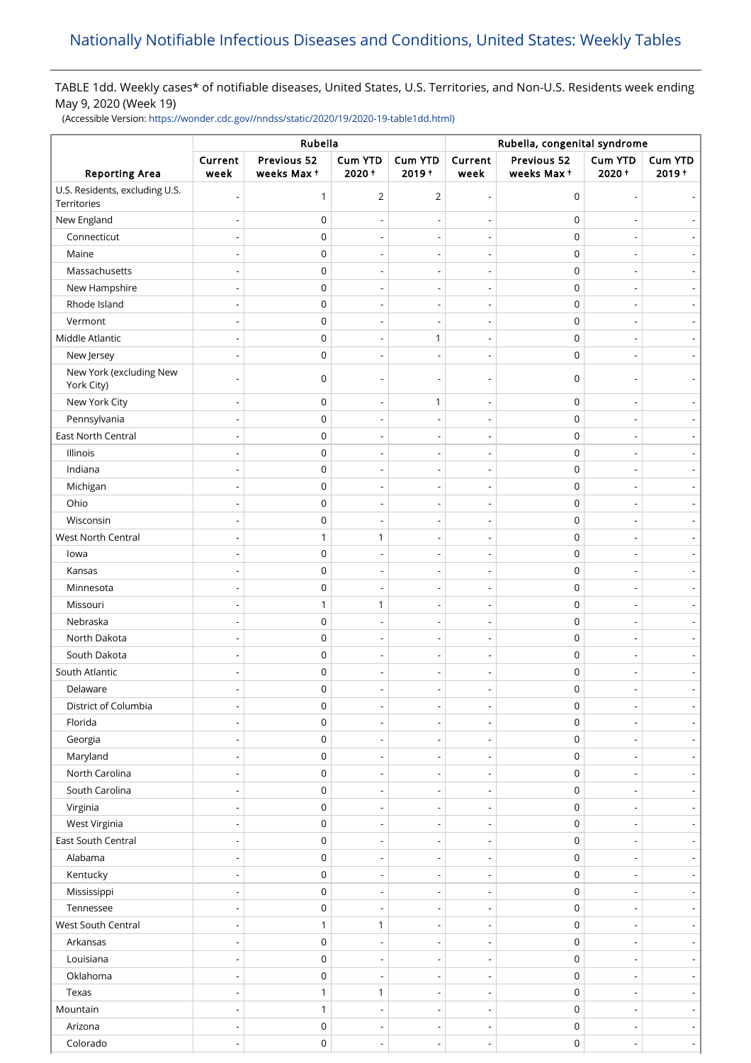## TABLE 1dd. Weekly cases\* of notifiable diseases, United States, U.S. Territories, and Non-U.S. Residents week ending May 9, 2020 (Week 19)

(Accessible Version: [https://wonder.cdc.gov//nndss/static/2020/19/2020-19-table1dd.html\)](https://wonder.cdc.gov//nndss/static/2020/19/2020-19-table1dd.html)

|                                               | Rubella                  |                           |                          |                            | Rubella, congenital syndrome |                           |                          |                              |
|-----------------------------------------------|--------------------------|---------------------------|--------------------------|----------------------------|------------------------------|---------------------------|--------------------------|------------------------------|
| <b>Reporting Area</b>                         | Current<br>week          | Previous 52<br>weeks Max+ | Cum YTD<br>$2020 +$      | <b>Cum YTD</b><br>$2019 +$ | Current<br>week              | Previous 52<br>weeks Max+ | Cum YTD<br>2020+         | Cum YTD<br>$2019 +$          |
| U.S. Residents, excluding U.S.<br>Territories |                          | 1                         | 2                        | $\overline{2}$             | $\overline{\phantom{a}}$     | $\mathbf 0$               |                          |                              |
| New England                                   |                          | $\mathbf 0$               |                          |                            |                              | $\pmb{0}$                 |                          |                              |
| Connecticut                                   |                          | $\mathbf 0$               |                          |                            |                              | $\mathbf 0$               |                          |                              |
| Maine                                         |                          | $\mathbf 0$               |                          |                            | $\overline{\phantom{a}}$     | $\mathbf 0$               |                          |                              |
| Massachusetts                                 |                          | $\mathbf 0$               | $\overline{\phantom{a}}$ | $\overline{\phantom{a}}$   | $\overline{\phantom{0}}$     | $\mathbf 0$               |                          |                              |
| New Hampshire                                 |                          | $\mathbf 0$               | $\overline{\phantom{a}}$ | ٠                          |                              | $\mathbf 0$               |                          | $\overline{\phantom{a}}$     |
| Rhode Island                                  |                          | $\mathsf 0$               |                          |                            |                              | $\mathbf 0$               |                          |                              |
| Vermont                                       |                          | $\mathbf 0$               | $\overline{\phantom{a}}$ | $\overline{a}$             | $\overline{\phantom{a}}$     | $\mathbf 0$               |                          |                              |
| Middle Atlantic                               |                          | $\mathbf 0$               | $\overline{\phantom{a}}$ | $\mathbf{1}$               | $\overline{\phantom{a}}$     | $\mathbf 0$               |                          |                              |
| New Jersey                                    |                          | $\mathbf 0$               | $\overline{\phantom{a}}$ | $\overline{\phantom{a}}$   | $\overline{\phantom{a}}$     | $\pmb{0}$                 |                          | $\qquad \qquad \blacksquare$ |
| New York (excluding New<br>York City)         |                          | $\mathbf 0$               |                          |                            |                              | $\mathbf 0$               |                          |                              |
| New York City                                 |                          | 0                         | $\overline{a}$           | 1                          |                              | $\mathbf 0$               |                          |                              |
| Pennsylvania                                  |                          | $\mathbf 0$               | $\overline{\phantom{a}}$ |                            | $\overline{\phantom{a}}$     | $\mathbf 0$               |                          |                              |
| East North Central                            |                          | $\mathbf 0$               |                          |                            |                              | $\mathbf 0$               |                          |                              |
| Illinois                                      |                          | $\mathbf 0$               | $\overline{\phantom{a}}$ | $\overline{\phantom{a}}$   | $\overline{\phantom{0}}$     | $\mathbf 0$               |                          |                              |
| Indiana                                       |                          | $\mathbf 0$               | $\overline{\phantom{a}}$ | $\overline{\phantom{0}}$   | $\overline{\phantom{a}}$     | $\mathbf 0$               |                          | $\overline{\phantom{a}}$     |
| Michigan                                      |                          | $\mathbf 0$               | $\overline{\phantom{a}}$ | $\overline{a}$             | $\overline{\phantom{a}}$     | $\mathbf 0$               |                          | $\overline{\phantom{a}}$     |
| Ohio                                          |                          | $\mathbf 0$               | $\overline{\phantom{a}}$ | $\overline{a}$             | $\overline{\phantom{a}}$     | $\mathbf 0$               |                          |                              |
| Wisconsin                                     |                          | $\mathbf 0$               | ÷,                       |                            | $\overline{\phantom{a}}$     | $\mathbf 0$               |                          |                              |
| West North Central                            |                          | 1                         | 1                        | $\overline{\phantom{0}}$   | $\overline{\phantom{a}}$     | $\mathbf 0$               |                          | $\overline{\phantom{a}}$     |
| lowa                                          |                          | $\mathbf 0$               |                          |                            |                              | $\mathbf 0$               |                          |                              |
| Kansas                                        |                          | $\mathbf 0$               | $\overline{\phantom{a}}$ |                            | $\overline{\phantom{a}}$     | $\mathbf 0$               |                          |                              |
| Minnesota                                     |                          | $\mathbf 0$               |                          |                            |                              | $\pmb{0}$                 |                          |                              |
| Missouri                                      |                          | 1                         | 1                        | $\overline{a}$             | $\overline{\phantom{a}}$     | $\mathbf 0$               |                          | $\overline{\phantom{a}}$     |
| Nebraska                                      |                          | $\mathbf 0$               |                          |                            |                              | $\mathbf 0$               |                          | $\overline{\phantom{a}}$     |
| North Dakota                                  |                          | $\mathbf 0$               | $\overline{\phantom{a}}$ |                            |                              | $\mathbf 0$               |                          |                              |
| South Dakota                                  |                          | $\mathbf 0$               | $\overline{\phantom{a}}$ |                            | $\overline{\phantom{a}}$     | $\pmb{0}$                 |                          |                              |
| South Atlantic                                |                          | $\mathbf 0$               | $\overline{\phantom{a}}$ | $\overline{\phantom{a}}$   | $\overline{\phantom{a}}$     | $\mathbf 0$               | $\overline{\phantom{a}}$ |                              |
| Delaware                                      |                          | $\mathbf 0$               | $\overline{\phantom{a}}$ |                            | $\overline{\phantom{a}}$     | $\mathbf 0$               | $\overline{\phantom{a}}$ |                              |
| District of Columbia                          |                          | $\mathsf 0$               | $\overline{\phantom{a}}$ |                            | $\overline{\phantom{a}}$     | $\mathbf 0$               |                          | $\overline{\phantom{a}}$     |
| Florida                                       |                          | $\mathbf 0$               | $\overline{\phantom{a}}$ | $\overline{\phantom{a}}$   | $\overline{\phantom{a}}$     | $\boldsymbol{0}$          | $\overline{\phantom{a}}$ | $\overline{\phantom{a}}$     |
| Georgia                                       |                          | $\mathsf 0$               |                          |                            | $\overline{\phantom{a}}$     | 0                         |                          |                              |
| Maryland                                      |                          | $\mathbf 0$               | $\overline{\phantom{a}}$ | $\overline{\phantom{a}}$   | $\overline{\phantom{a}}$     | 0                         | $\overline{\phantom{a}}$ | $\overline{\phantom{a}}$     |
| North Carolina                                |                          | $\mathsf 0$               |                          |                            |                              | 0                         |                          | $\overline{\phantom{a}}$     |
| South Carolina                                |                          | $\mathbf 0$               | $\overline{\phantom{a}}$ | $\overline{a}$             | $\overline{\phantom{m}}$     | $\mathbf 0$               |                          | $\overline{\phantom{a}}$     |
| Virginia                                      |                          | $\mathsf 0$               | $\overline{a}$           |                            | $\overline{\phantom{a}}$     | 0                         |                          | $\overline{\phantom{a}}$     |
| West Virginia                                 |                          | $\mathbf 0$               | $\overline{\phantom{a}}$ | $\overline{\phantom{a}}$   | $\overline{\phantom{m}}$     | $\mathbf 0$               |                          | $\blacksquare$               |
| East South Central                            |                          | 0                         | $\overline{\phantom{a}}$ | $\overline{a}$             | $\overline{\phantom{a}}$     | 0                         | $\overline{\phantom{a}}$ | $\overline{\phantom{a}}$     |
| Alabama                                       |                          | $\mathsf 0$               | $\overline{\phantom{a}}$ | $\overline{\phantom{a}}$   | $\overline{\phantom{m}}$     | $\mathbf 0$               |                          | $\overline{\phantom{a}}$     |
| Kentucky                                      |                          | $\mathsf 0$               | $\overline{\phantom{a}}$ | $\overline{a}$             | $\overline{\phantom{a}}$     | $\boldsymbol{0}$          |                          | $\overline{\phantom{a}}$     |
| Mississippi                                   |                          | $\mathsf 0$               | $\overline{\phantom{a}}$ | $\overline{a}$             | $\overline{\phantom{a}}$     | $\mathsf 0$               |                          | $\qquad \qquad \blacksquare$ |
| Tennessee                                     |                          | $\mathbf 0$               | $\overline{\phantom{a}}$ | $\overline{\phantom{0}}$   | $\overline{\phantom{a}}$     | $\mathbf 0$               | $\overline{\phantom{a}}$ | $\overline{\phantom{a}}$     |
| West South Central                            |                          | $\mathbf{1}$              | 1                        |                            | $\overline{\phantom{a}}$     | $\mathbf 0$               |                          | $\overline{\phantom{a}}$     |
| Arkansas                                      |                          | $\mathbf 0$               | $\overline{\phantom{a}}$ | $\overline{\phantom{a}}$   | $\overline{\phantom{a}}$     | $\mathbf 0$               |                          | $\overline{\phantom{a}}$     |
| Louisiana                                     |                          | $\mathsf 0$               |                          |                            | $\overline{\phantom{0}}$     | $\mathsf 0$               |                          |                              |
| Oklahoma                                      |                          | $\mathbf 0$               | $\overline{\phantom{a}}$ | $\overline{a}$             | $\overline{\phantom{m}}$     | $\mathbf 0$               |                          | $\overline{\phantom{a}}$     |
| Texas                                         |                          | $\mathbf{1}$              | 1                        |                            |                              | 0                         |                          | $\overline{\phantom{a}}$     |
| Mountain                                      |                          | $\mathbf{1}$              | $\overline{\phantom{a}}$ | $\overline{\phantom{a}}$   | $\overline{\phantom{m}}$     | $\mathbf 0$               |                          | $\blacksquare$               |
| Arizona                                       |                          | $\mathbf 0$               | $\overline{\phantom{a}}$ | $\overline{\phantom{0}}$   | $\overline{\phantom{a}}$     | $\mathsf 0$               | $\overline{\phantom{a}}$ | $\overline{\phantom{a}}$     |
| Colorado                                      | $\overline{\phantom{a}}$ | $\mathbf 0$               | $\overline{\phantom{a}}$ | $\overline{\phantom{a}}$   | $\overline{\phantom{m}}$     | $\boldsymbol{0}$          | $\overline{\phantom{a}}$ | $\overline{\phantom{a}}$     |